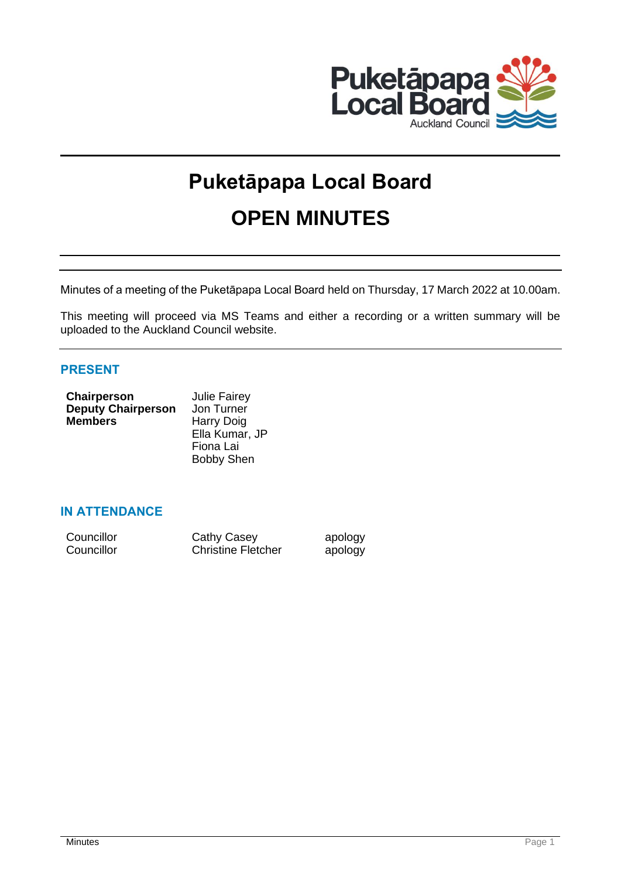

# **Puketāpapa Local Board OPEN MINUTES**

Minutes of a meeting of the Puketāpapa Local Board held on Thursday, 17 March 2022 at 10.00am.

This meeting will proceed via MS Teams and either a recording or a written summary will be uploaded to the Auckland Council website.

# **PRESENT**

| Chairperson               | <b>Julie Fairey</b> |
|---------------------------|---------------------|
| <b>Deputy Chairperson</b> | Jon Turner          |
| <b>Members</b>            | Harry Doig          |
|                           | Ella Kumar, JP      |
|                           | Fiona Lai           |
|                           | <b>Bobby Shen</b>   |

# **IN ATTENDANCE**

| Councillor | Cathy Casey               | apology |
|------------|---------------------------|---------|
| Councillor | <b>Christine Fletcher</b> | apology |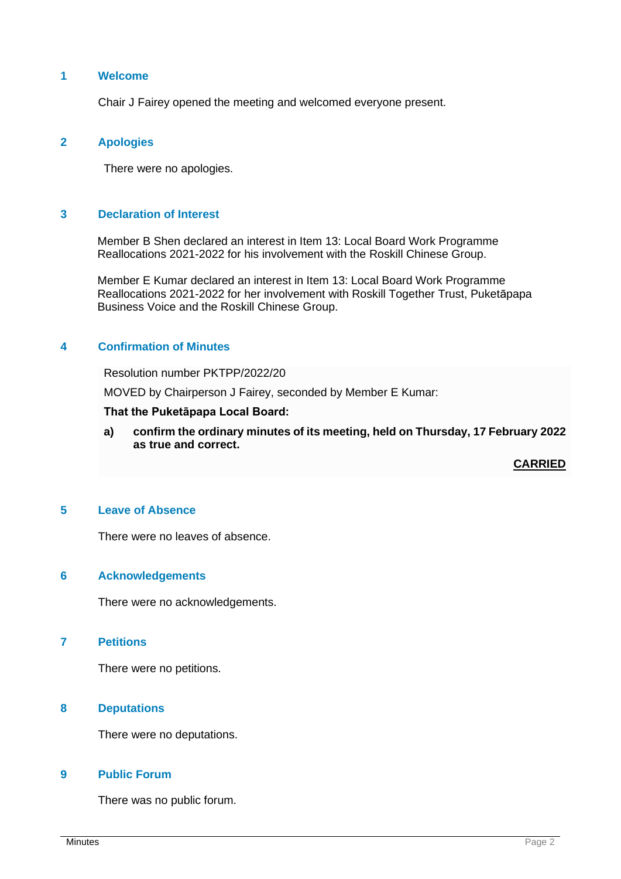# **1 Welcome**

Chair J Fairey opened the meeting and welcomed everyone present.

## **2 Apologies**

There were no apologies.

# **3 Declaration of Interest**

Member B Shen declared an interest in Item 13: Local Board Work Programme Reallocations 2021-2022 for his involvement with the Roskill Chinese Group.

Member E Kumar declared an interest in Item 13: Local Board Work Programme Reallocations 2021-2022 for her involvement with Roskill Together Trust, Puketāpapa Business Voice and the Roskill Chinese Group.

## **4 Confirmation of Minutes**

Resolution number PKTPP/2022/20

MOVED by Chairperson J Fairey, seconded by Member E Kumar:

#### **That the Puketāpapa Local Board:**

**a) confirm the ordinary minutes of its meeting, held on Thursday, 17 February 2022 as true and correct.**

**CARRIED**

# **5 Leave of Absence**

There were no leaves of absence.

#### **6 Acknowledgements**

There were no acknowledgements.

## **7 Petitions**

There were no petitions.

## **8 Deputations**

There were no deputations.

## **9 Public Forum**

There was no public forum.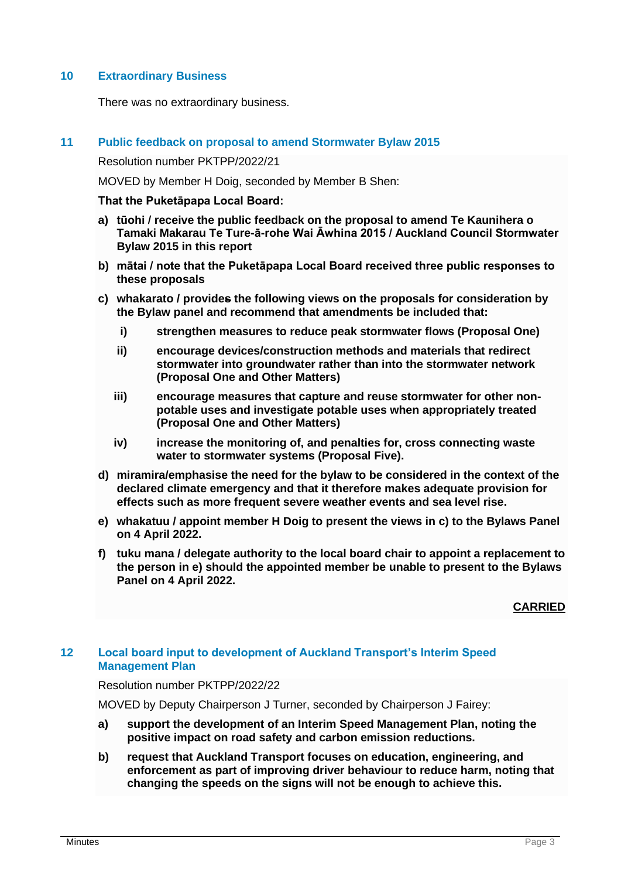# **10 Extraordinary Business**

There was no extraordinary business.

## **11 Public feedback on proposal to amend Stormwater Bylaw 2015**

Resolution number PKTPP/2022/21

MOVED by Member H Doig, seconded by Member B Shen:

**That the Puketāpapa Local Board:**

- **a) tūohi / receive the public feedback on the proposal to amend Te Kaunihera o Tamaki Makarau Te Ture-ā-rohe Wai Āwhina 2015 / Auckland Council Stormwater Bylaw 2015 in this report**
- **b) mātai / note that the Puketāpapa Local Board received three public responses to these proposals**
- **c) whakarato / provides the following views on the proposals for consideration by the Bylaw panel and recommend that amendments be included that:**
	- **i) strengthen measures to reduce peak stormwater flows (Proposal One)**
	- **ii) encourage devices/construction methods and materials that redirect stormwater into groundwater rather than into the stormwater network (Proposal One and Other Matters)**
	- **iii) encourage measures that capture and reuse stormwater for other nonpotable uses and investigate potable uses when appropriately treated (Proposal One and Other Matters)**
	- **iv) increase the monitoring of, and penalties for, cross connecting waste water to stormwater systems (Proposal Five).**
- **d) miramira/emphasise the need for the bylaw to be considered in the context of the declared climate emergency and that it therefore makes adequate provision for effects such as more frequent severe weather events and sea level rise.**
- **e) whakatuu / appoint member H Doig to present the views in c) to the Bylaws Panel on 4 April 2022.**
- **f) tuku mana / delegate authority to the local board chair to appoint a replacement to the person in e) should the appointed member be unable to present to the Bylaws Panel on 4 April 2022.**

**CARRIED**

## **12 Local board input to development of Auckland Transport's Interim Speed Management Plan**

## Resolution number PKTPP/2022/22

MOVED by Deputy Chairperson J Turner, seconded by Chairperson J Fairey:

- **a) support the development of an Interim Speed Management Plan, noting the positive impact on road safety and carbon emission reductions.**
- **b) request that Auckland Transport focuses on education, engineering, and enforcement as part of improving driver behaviour to reduce harm, noting that changing the speeds on the signs will not be enough to achieve this.**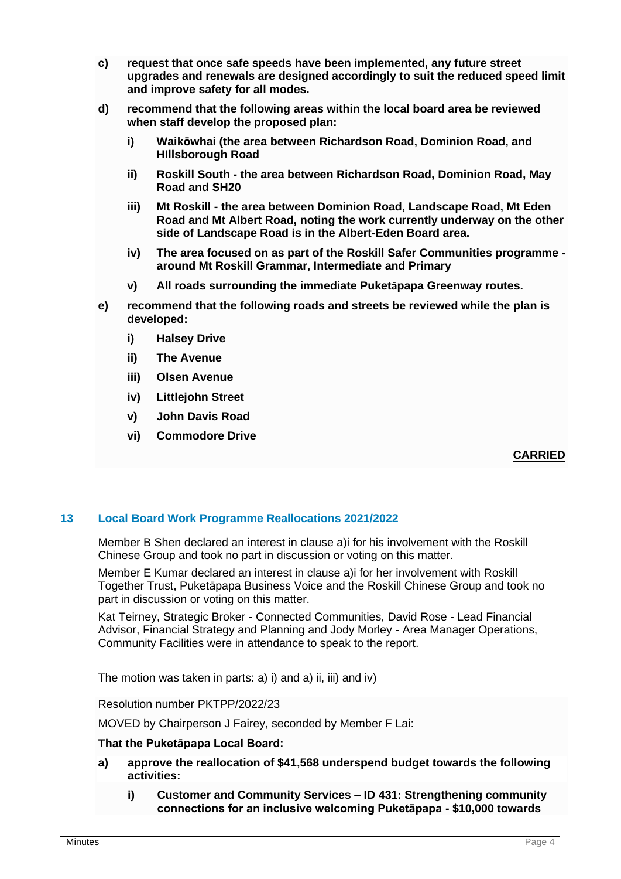- **c) request that once safe speeds have been implemented, any future street upgrades and renewals are designed accordingly to suit the reduced speed limit and improve safety for all modes.**
- **d) recommend that the following areas within the local board area be reviewed when staff develop the proposed plan:**
	- **i) Waikōwhai (the area between Richardson Road, Dominion Road, and HIllsborough Road**
	- **ii) Roskill South - the area between Richardson Road, Dominion Road, May Road and SH20**
	- **iii) Mt Roskill - the area between Dominion Road, Landscape Road, Mt Eden Road and Mt Albert Road, noting the work currently underway on the other side of Landscape Road is in the Albert-Eden Board area.**
	- **iv) The area focused on as part of the Roskill Safer Communities programme around Mt Roskill Grammar, Intermediate and Primary**
	- **v) All roads surrounding the immediate Puketāpapa Greenway routes.**
- **e) recommend that the following roads and streets be reviewed while the plan is developed:**
	- **i) Halsey Drive**
	- **ii) The Avenue**
	- **iii) Olsen Avenue**
	- **iv) Littlejohn Street**
	- **v) John Davis Road**
	- **vi) Commodore Drive**

## **CARRIED**

## **13 Local Board Work Programme Reallocations 2021/2022**

Member B Shen declared an interest in clause a)i for his involvement with the Roskill Chinese Group and took no part in discussion or voting on this matter.

Member E Kumar declared an interest in clause a)i for her involvement with Roskill Together Trust, Puketāpapa Business Voice and the Roskill Chinese Group and took no part in discussion or voting on this matter.

Kat Teirney, Strategic Broker - Connected Communities, David Rose - Lead Financial Advisor, Financial Strategy and Planning and Jody Morley - Area Manager Operations, Community Facilities were in attendance to speak to the report.

The motion was taken in parts: a) i) and a) ii, iii) and iv)

Resolution number PKTPP/2022/23

MOVED by Chairperson J Fairey, seconded by Member F Lai:

#### **That the Puketāpapa Local Board:**

- **a) approve the reallocation of \$41,568 underspend budget towards the following activities:**
	- **i) Customer and Community Services – ID 431: Strengthening community connections for an inclusive welcoming Puketāpapa - \$10,000 towards**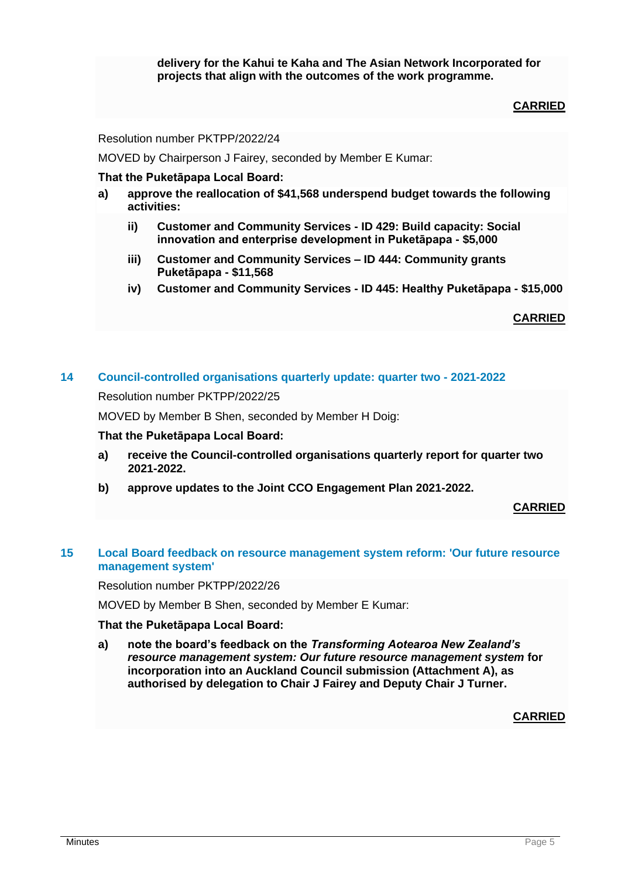**delivery for the Kahui te Kaha and The Asian Network Incorporated for projects that align with the outcomes of the work programme.**

# **CARRIED**

Resolution number PKTPP/2022/24

MOVED by Chairperson J Fairey, seconded by Member E Kumar:

## **That the Puketāpapa Local Board:**

- **a) approve the reallocation of \$41,568 underspend budget towards the following activities:**
	- **ii) Customer and Community Services - ID 429: Build capacity: Social innovation and enterprise development in Puketāpapa - \$5,000**
	- **iii) Customer and Community Services – ID 444: Community grants Puketāpapa - \$11,568**
	- **iv) Customer and Community Services - ID 445: Healthy Puketāpapa - \$15,000**

**CARRIED**

#### **14 Council-controlled organisations quarterly update: quarter two - 2021-2022**

Resolution number PKTPP/2022/25

MOVED by Member B Shen, seconded by Member H Doig:

#### **That the Puketāpapa Local Board:**

- **a) receive the Council-controlled organisations quarterly report for quarter two 2021-2022.**
- **b) approve updates to the Joint CCO Engagement Plan 2021-2022.**

#### **CARRIED**

## **15 Local Board feedback on resource management system reform: 'Our future resource management system'**

Resolution number PKTPP/2022/26

MOVED by Member B Shen, seconded by Member E Kumar:

#### **That the Puketāpapa Local Board:**

**a) note the board's feedback on the** *Transforming Aotearoa New Zealand's resource management system: Our future resource management system* **for incorporation into an Auckland Council submission (Attachment A), as authorised by delegation to Chair J Fairey and Deputy Chair J Turner.**

**CARRIED**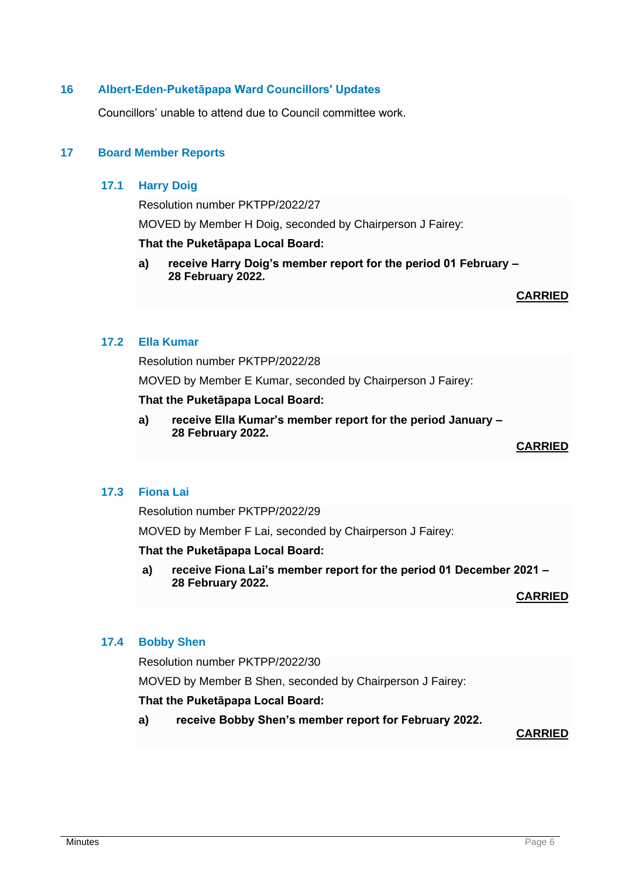## **16 Albert-Eden-Puketāpapa Ward Councillors' Updates**

Councillors' unable to attend due to Council committee work.

## **17 Board Member Reports**

## **17.1 Harry Doig**

Resolution number PKTPP/2022/27

MOVED by Member H Doig, seconded by Chairperson J Fairey:

#### **That the Puketāpapa Local Board:**

**a) receive Harry Doig's member report for the period 01 February – 28 February 2022.**

**CARRIED**

## **17.2 Ella Kumar**

Resolution number PKTPP/2022/28

MOVED by Member E Kumar, seconded by Chairperson J Fairey:

### **That the Puketāpapa Local Board:**

**a) receive Ella Kumar's member report for the period January – 28 February 2022.**

**CARRIED**

## **17.3 Fiona Lai**

Resolution number PKTPP/2022/29

MOVED by Member F Lai, seconded by Chairperson J Fairey:

**That the Puketāpapa Local Board:**

**a) receive Fiona Lai's member report for the period 01 December 2021 – 28 February 2022.**

**CARRIED**

#### **17.4 Bobby Shen**

Resolution number PKTPP/2022/30

MOVED by Member B Shen, seconded by Chairperson J Fairey:

## **That the Puketāpapa Local Board:**

**a) receive Bobby Shen's member report for February 2022.**

**CARRIED**